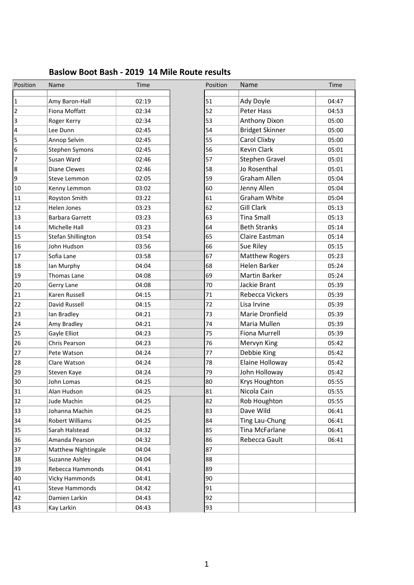| Baslow Boot Bash - 2019 14 Mile Route results |  |
|-----------------------------------------------|--|
|-----------------------------------------------|--|

| Position         | Name                  | Time  | Position | Name                   | Time  |
|------------------|-----------------------|-------|----------|------------------------|-------|
| $\mathbf{1}$     | Amy Baron-Hall        | 02:19 | 51       | Ady Doyle              | 04:47 |
| $\overline{2}$   | Fiona Moffatt         | 02:34 | 52       | Peter Hass             | 04:53 |
| $\overline{3}$   | Roger Kerry           | 02:34 | 53       | Anthony Dixon          | 05:00 |
| 4                | Lee Dunn              | 02:45 | 54       | <b>Bridget Skinner</b> | 05:00 |
| 5                | Annop Selvin          | 02:45 | 55       | Carol Clixby           | 05:00 |
| $6\phantom{.}6$  | Stephen Symons        | 02:45 | 56       | <b>Kevin Clark</b>     | 05:01 |
| 7                | Susan Ward            | 02:46 | 57       | Stephen Gravel         | 05:01 |
| $\boldsymbol{8}$ | Diane Clewes          | 02:46 | 58       | Jo Rosenthal           | 05:01 |
| 9                | Steve Lemmon          | 02:05 | 59       | Graham Allen           | 05:04 |
| 10               | Kenny Lemmon          | 03:02 | 60       | Jenny Allen            | 05:04 |
| 11               | Royston Smith         | 03:22 | 61       | Graham White           | 05:04 |
| 12               | Helen Jones           | 03:23 | 62       | <b>Gill Clark</b>      | 05:13 |
| 13               | Barbara Garrett       | 03:23 | 63       | <b>Tina Small</b>      | 05:13 |
| 14               | Michelle Hall         | 03:23 | 64       | <b>Beth Stranks</b>    | 05:14 |
| 15               | Stefan Shillington    | 03:54 | 65       | Claire Eastman         | 05:14 |
| 16               | John Hudson           | 03:56 | 66       | Sue Riley              | 05:15 |
| 17               | Sofia Lane            | 03:58 | 67       | <b>Matthew Rogers</b>  | 05:23 |
| 18               | lan Murphy            | 04:04 | 68       | Helen Barker           | 05:24 |
| 19               | Thomas Lane           | 04:08 | 69       | <b>Martin Barker</b>   | 05:24 |
| 20               | Gerry Lane            | 04:08 | 70       | Jackie Brant           | 05:39 |
| 21               | Karen Russell         | 04:15 | 71       | Rebecca Vickers        | 05:39 |
| 22               | David Russell         | 04:15 | 72       | Lisa Irvine            | 05:39 |
| 23               | lan Bradley           | 04:21 | 73       | Marie Dronfield        | 05:39 |
| 24               | Amy Bradley           | 04:21 | 74       | Maria Mullen           | 05:39 |
| 25               | Gayle Elliot          | 04:23 | 75       | <b>Fiona Murrell</b>   | 05:39 |
| 26               | Chris Pearson         | 04:23 | 76       | Mervyn King            | 05:42 |
| 27               | Pete Watson           | 04:24 | 77       | Debbie King            | 05:42 |
| 28               | Clare Watson          | 04:24 | 78       | Elaine Holloway        | 05:42 |
| 29               | Steven Kaye           | 04:24 | 79       | John Holloway          | 05:42 |
| 30               | John Lomas            | 04:25 | 80       | Krys Houghton          | 05:55 |
| 31               | Alan Hudson           | 04:25 | 81       | Nicola Cain            | 05:55 |
| 32               | Jude Machin           | 04:25 | 82       | Rob Houghton           | 05:55 |
| 33               | Johanna Machin        | 04:25 | 83       | Dave Wild              | 06:41 |
| 34               | Robert Williams       | 04:25 | 84       | Ting Lau-Chung         | 06:41 |
| 35               | Sarah Halstead        | 04:32 | 85       | Tina McFarlane         | 06:41 |
| 36               | Amanda Pearson        | 04:32 | 86       | Rebecca Gault          | 06:41 |
| 37               | Matthew Nightingale   | 04:04 | 87       |                        |       |
| 38               | Suzanne Ashley        | 04:04 | 88       |                        |       |
| 39               | Rebecca Hammonds      | 04:41 | 89       |                        |       |
| 40               | Vicky Hammonds        | 04:41 | 90       |                        |       |
| 41               | <b>Steve Hammonds</b> | 04:42 | 91       |                        |       |
| 42               | Damien Larkin         | 04:43 | 92       |                        |       |
| 43               | Kay Larkin            | 04:43 | 93       |                        |       |